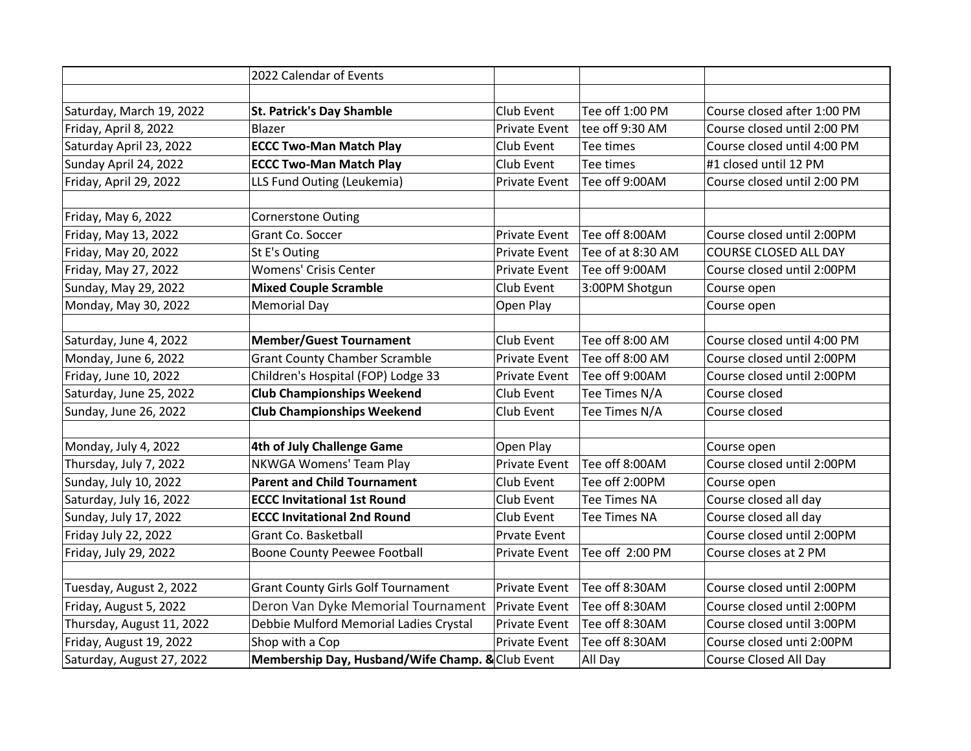|                           | 2022 Calendar of Events                          |                      |                     |                              |  |
|---------------------------|--------------------------------------------------|----------------------|---------------------|------------------------------|--|
|                           |                                                  |                      |                     |                              |  |
| Saturday, March 19, 2022  | <b>St. Patrick's Day Shamble</b>                 | Club Event           | $ $ Tee off 1:00 PM | Course closed after 1:00 PM  |  |
| Friday, April 8, 2022     | Blazer                                           | <b>Private Event</b> | tee off 9:30 AM     | Course closed until 2:00 PM  |  |
| Saturday April 23, 2022   | <b>ECCC Two-Man Match Play</b>                   | Club Event           | Tee times           | Course closed until 4:00 PM  |  |
| Sunday April 24, 2022     | <b>ECCC Two-Man Match Play</b>                   | Club Event           | Tee times           | #1 closed until 12 PM        |  |
| Friday, April 29, 2022    | LLS Fund Outing (Leukemia)                       | <b>Private Event</b> | Tee off 9:00AM      | Course closed until 2:00 PM  |  |
|                           |                                                  |                      |                     |                              |  |
| Friday, May 6, 2022       | <b>Cornerstone Outing</b>                        |                      |                     |                              |  |
| Friday, May 13, 2022      | Grant Co. Soccer                                 | <b>Private Event</b> | Tee off 8:00AM      | Course closed until 2:00PM   |  |
| Friday, May 20, 2022      | St E's Outing                                    | <b>Private Event</b> | Tee of at 8:30 AM   | <b>COURSE CLOSED ALL DAY</b> |  |
| Friday, May 27, 2022      | <b>Womens' Crisis Center</b>                     | <b>Private Event</b> | Tee off 9:00AM      | Course closed until 2:00PM   |  |
| Sunday, May 29, 2022      | <b>Mixed Couple Scramble</b>                     | Club Event           | 3:00PM Shotgun      | Course open                  |  |
| Monday, May 30, 2022      | <b>Memorial Day</b>                              | Open Play            |                     | Course open                  |  |
|                           |                                                  |                      |                     |                              |  |
| Saturday, June 4, 2022    | <b>Member/Guest Tournament</b>                   | Club Event           | Tee off 8:00 AM     | Course closed until 4:00 PM  |  |
| Monday, June 6, 2022      | <b>Grant County Chamber Scramble</b>             | <b>Private Event</b> | Tee off 8:00 AM     | Course closed until 2:00PM   |  |
| Friday, June 10, 2022     | Children's Hospital (FOP) Lodge 33               | <b>Private Event</b> | Tee off 9:00AM      | Course closed until 2:00PM   |  |
| Saturday, June 25, 2022   | <b>Club Championships Weekend</b>                | Club Event           | Tee Times N/A       | Course closed                |  |
| Sunday, June 26, 2022     | <b>Club Championships Weekend</b>                |                      | Tee Times N/A       | Course closed                |  |
|                           |                                                  |                      |                     |                              |  |
| Monday, July 4, 2022      | 4th of July Challenge Game                       | Open Play            |                     | Course open                  |  |
| Thursday, July 7, 2022    | NKWGA Womens' Team Play                          | <b>Private Event</b> | Tee off 8:00AM      | Course closed until 2:00PM   |  |
| Sunday, July 10, 2022     | <b>Parent and Child Tournament</b>               | Club Event           | Tee off 2:00PM      | Course open                  |  |
| Saturday, July 16, 2022   | <b>ECCC Invitational 1st Round</b>               | Club Event           | Tee Times NA        | Course closed all day        |  |
| Sunday, July 17, 2022     | <b>ECCC Invitational 2nd Round</b>               | Club Event           | <b>Tee Times NA</b> | Course closed all day        |  |
| Friday July 22, 2022      | Grant Co. Basketball                             | <b>Prvate Event</b>  |                     | Course closed until 2:00PM   |  |
| Friday, July 29, 2022     | <b>Boone County Peewee Football</b>              | <b>Private Event</b> | Tee off 2:00 PM     | Course closes at 2 PM        |  |
|                           |                                                  |                      |                     |                              |  |
| Tuesday, August 2, 2022   | <b>Grant County Girls Golf Tournament</b>        | <b>Private Event</b> | Tee off 8:30AM      | Course closed until 2:00PM   |  |
| Friday, August 5, 2022    | Deron Van Dyke Memorial Tournament               | <b>Private Event</b> | Tee off 8:30AM      | Course closed until 2:00PM   |  |
| Thursday, August 11, 2022 | Debbie Mulford Memorial Ladies Crystal           | <b>Private Event</b> | Tee off 8:30AM      | Course closed until 3:00PM   |  |
| Friday, August 19, 2022   | Shop with a Cop                                  | <b>Private Event</b> | Tee off 8:30AM      | Course closed unti 2:00PM    |  |
| Saturday, August 27, 2022 | Membership Day, Husband/Wife Champ. & Club Event |                      | All Day             | Course Closed All Day        |  |